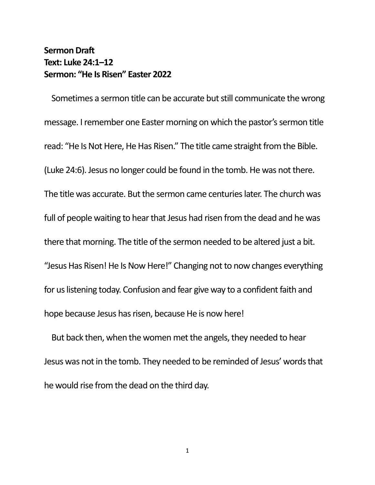## **Sermon Draft Text: Luke 24:1–12 Sermon: "He Is Risen" Easter 2022**

Sometimes a sermon title can be accurate but still communicate the wrong message. I remember one Easter morning on which the pastor's sermon title read: "He Is Not Here, He Has Risen." The title came straight from the Bible. (Luke 24:6). Jesus no longer could be found in the tomb. He was not there. The title was accurate. But the sermon came centuries later. The church was full of people waiting to hear that Jesus had risen from the dead and he was there that morning. The title of the sermon needed to be altered just a bit. "Jesus Has Risen! He Is Now Here!" Changing not to now changes everything for us listening today. Confusion and fear give way to a confident faith and hope because Jesus has risen, because He is now here!

But back then, when the women met the angels, they needed to hear Jesus was not in the tomb. They needed to be reminded of Jesus' words that he would rise from the dead on the third day.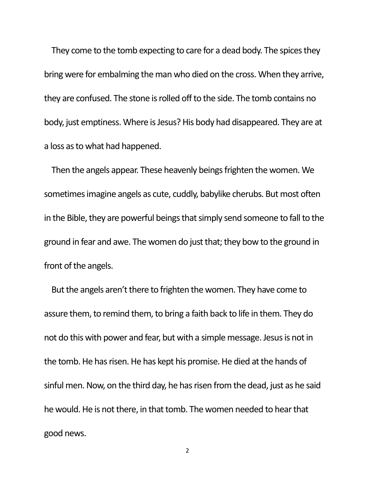They come to the tomb expecting to care for a dead body. The spices they bring were for embalming the man who died on the cross. When they arrive, they are confused. The stone is rolled off to the side. The tomb contains no body, just emptiness. Where is Jesus? His body had disappeared. They are at a loss as to what had happened.

Then the angels appear. These heavenly beings frighten the women. We sometimes imagine angels as cute, cuddly, babylike cherubs. But most often in the Bible, they are powerful beings that simply send someone to fall to the ground in fear and awe. The women do just that; they bow to the ground in front of the angels.

But the angels aren't there to frighten the women. They have come to assure them, to remind them, to bring a faith back to life in them. They do not do this with power and fear, but with a simple message. Jesus is not in the tomb. He has risen. He has kept his promise. He died at the hands of sinful men. Now, on the third day, he has risen from the dead, just as he said he would. He is not there, in that tomb. The women needed to hear that good news.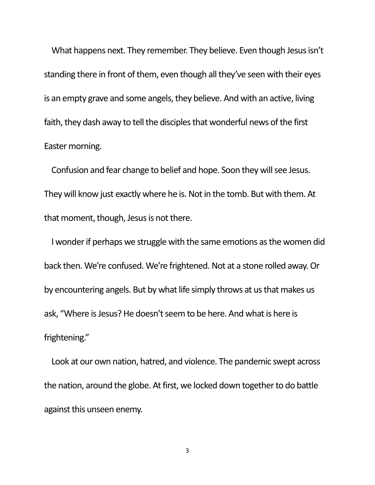What happens next. They remember. They believe. Even though Jesus isn't standing there in front of them, even though all they've seen with their eyes is an empty grave and some angels, they believe. And with an active, living faith, they dash away to tell the disciples that wonderful news of the first Easter morning.

Confusion and fear change to belief and hope. Soon they will see Jesus. They will know just exactly where he is. Not in the tomb. But with them. At that moment, though, Jesus is not there.

I wonder if perhaps we struggle with the same emotions as the women did back then. We're confused. We're frightened. Not at a stone rolled away. Or by encountering angels. But by what life simply throws at us that makes us ask, "Where is Jesus? He doesn't seem to be here. And what is here is frightening."

Look at our own nation, hatred, and violence. The pandemic swept across the nation, around the globe. At first, we locked down together to do battle against this unseen enemy.

3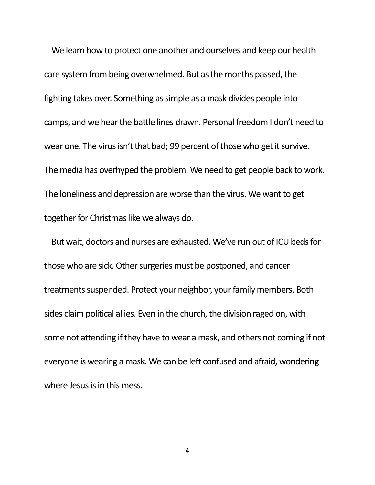We learn how to protect one another and ourselves and keep our health care system from being overwhelmed. But as the months passed, the fighting takes over. Something as simple as a mask divides people into camps, and we hear the battle lines drawn. Personal freedom I don't need to wear one. The virus isn't that bad; 99 percent of those who get it survive. The media has overhyped the problem. We need to get people back to work. The loneliness and depression are worse than the virus. We want to get together for Christmas like we always do.

But wait, doctors and nurses are exhausted. We've run out of ICU beds for those who are sick. Other surgeries must be postponed, and cancer treatments suspended. Protect your neighbor, your family members. Both sides claim political allies. Even in the church, the division raged on, with some not attending if they have to wear a mask, and others not coming if not everyone is wearing a mask. We can be left confused and afraid, wondering where Jesus is in this mess.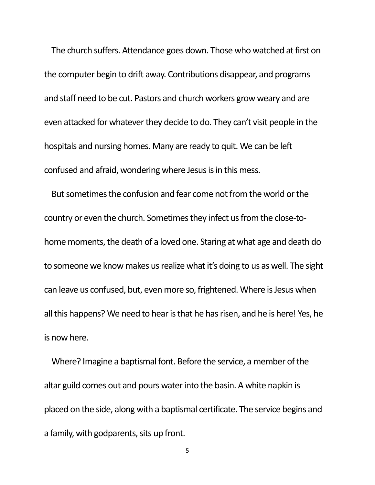The church suffers. Attendance goes down. Those who watched at first on the computer begin to drift away. Contributions disappear, and programs and staff need to be cut. Pastors and church workers grow weary and are even attacked for whatever they decide to do. They can't visit people in the hospitals and nursing homes. Many are ready to quit. We can be left confused and afraid, wondering where Jesus is in this mess.

But sometimes the confusion and fear come not from the world or the country or even the church. Sometimes they infect us from the close-tohome moments, the death of a loved one. Staring at what age and death do to someone we know makes us realize what it's doing to us as well. The sight can leave us confused, but, even more so, frightened. Where is Jesus when all this happens? We need to hear is that he has risen, and he is here! Yes, he is now here.

Where? Imagine a baptismal font. Before the service, a member of the altar guild comes out and pours water into the basin. A white napkin is placed on the side, along with a baptismal certificate. The service begins and a family, with godparents, sits up front.

5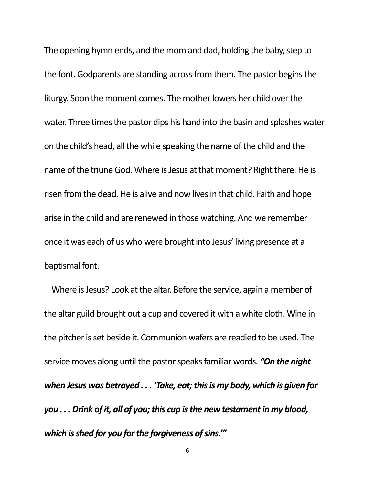The opening hymn ends, and the mom and dad, holding the baby, step to the font. Godparents are standing across from them. The pastor begins the liturgy. Soon the moment comes. The mother lowers her child over the water. Three times the pastor dips his hand into the basin and splashes water on the child's head, all the while speaking the name of the child and the name of the triune God. Where is Jesus at that moment? Right there. He is risen from the dead. He is alive and now lives in that child. Faith and hope arise in the child and are renewed in those watching. And we remember once it was each of us who were brought into Jesus' living presence at a baptismal font.

Where is Jesus? Look at the altar. Before the service, again a member of the altar guild brought out a cup and covered it with a white cloth. Wine in the pitcher is set beside it. Communion wafers are readied to be used. The service moves along until the pastor speaks familiar words. *"On the night when Jesus was betrayed . . . 'Take, eat; this is my body, which is given for you . . . Drink of it, all of you; this cup is the new testament in my blood, which is shed for you for the forgiveness of sins.'"*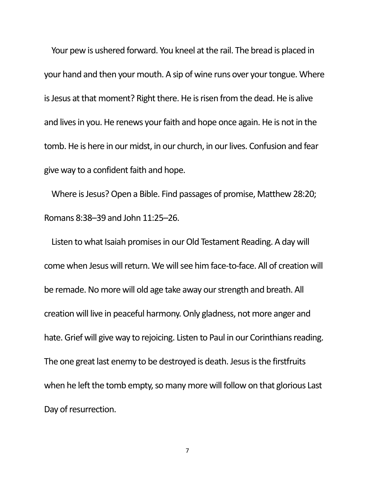Your pew is ushered forward. You kneel at the rail. The bread is placed in your hand and then your mouth. A sip of wine runs over your tongue. Where is Jesus at that moment? Right there. He is risen from the dead. He is alive and lives in you. He renews your faith and hope once again. He is not in the tomb. He is here in our midst, in our church, in our lives. Confusion and fear give way to a confident faith and hope.

Where is Jesus? Open a Bible. Find passages of promise, Matthew 28:20; Romans 8:38–39 and John 11:25–26.

Listen to what Isaiah promises in our Old Testament Reading. A day will come when Jesus will return. We will see him face-to-face. All of creation will be remade. No more will old age take away our strength and breath. All creation will live in peaceful harmony. Only gladness, not more anger and hate. Grief will give way to rejoicing. Listen to Paul in our Corinthians reading. The one great last enemy to be destroyed is death. Jesus is the firstfruits when he left the tomb empty, so many more will follow on that glorious Last Day of resurrection.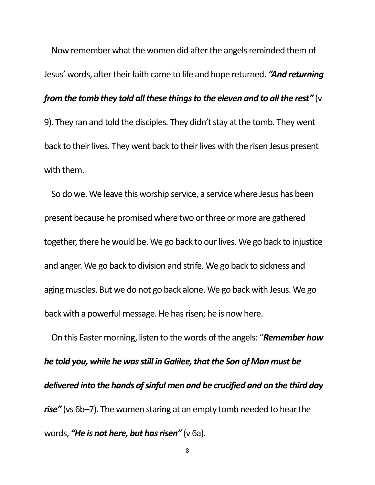Now remember what the women did after the angels reminded them of Jesus' words, after their faith came to life and hope returned. *"And returning from the tomb they told all these things to the eleven and to all the rest"* (v 9). They ran and told the disciples. They didn't stay at the tomb. They went back to their lives. They went back to their lives with the risen Jesus present with them.

So do we. We leave this worship service, a service where Jesus has been present because he promised where two or three or more are gathered together, there he would be. We go back to our lives. We go back to injustice and anger. We go back to division and strife. We go back to sickness and aging muscles. But we do not go back alone. We go back with Jesus. We go back with a powerful message. He has risen; he is now here.

On this Easter morning, listen to the words of the angels: "*Remember how he told you, while he was still in Galilee, that the Son of Man must be delivered into the hands of sinful men and be crucified and on the third day rise"* (vs 6b–7). The women staring at an empty tomb needed to hear the words, *"He is not here, but has risen"* (v 6a).